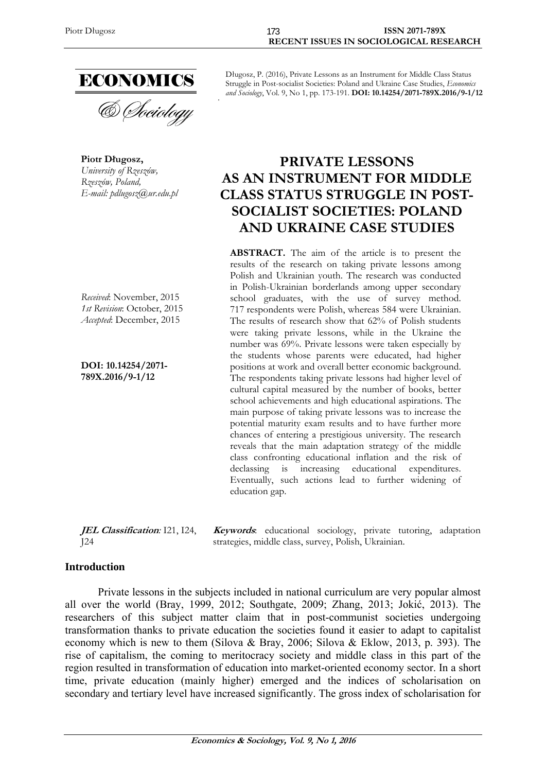

**Piotr Długosz,**  *University of Rzeszów, Rzeszów, Poland, E-mail: pdlugosz@ur.edu.pl* 

*Received*: November, 2015 *1st Revision*: October, 2015 *Accepted*: December, 2015

**DOI: 10.14254/2071- 789X.2016/9-1/12**

Długosz, P. (2016), Private Lessons as an Instrument for Middle Class Status Struggle in Post-socialist Societies: Poland and Ukraine Case Studies, *Economics and Sociology*, Vol. 9, No 1, pp. 173-191. **DOI: 10.14254/2071-789X.2016/9-1/12**

# **PRIVATE LESSONS AS AN INSTRUMENT FOR MIDDLE CLASS STATUS STRUGGLE IN POST-SOCIALIST SOCIETIES: POLAND AND UKRAINE CASE STUDIES**

**ABSTRACT.** The aim of the article is to present the results of the research on taking private lessons among Polish and Ukrainian youth. The research was conducted in Polish-Ukrainian borderlands among upper secondary school graduates, with the use of survey method. 717 respondents were Polish, whereas 584 were Ukrainian. The results of research show that 62% of Polish students were taking private lessons, while in the Ukraine the number was 69%. Private lessons were taken especially by the students whose parents were educated, had higher positions at work and overall better economic background. The respondents taking private lessons had higher level of cultural capital measured by the number of books, better school achievements and high educational aspirations. The main purpose of taking private lessons was to increase the potential maturity exam results and to have further more chances of entering a prestigious university. The research reveals that the main adaptation strategy of the middle class confronting educational inflation and the risk of declassing is increasing educational expenditures. Eventually, such actions lead to further widening of education gap.

**JEL Classification***:* I21, I24, J24

**Keywords**: educational sociology, private tutoring, adaptation strategies, middle class, survey, Polish, Ukrainian.

#### **Introduction**

Private lessons in the subjects included in national curriculum are very popular almost all over the world (Bray, 1999, 2012; Southgate, 2009; Zhang, 2013; Jokić, 2013). The researchers of this subject matter claim that in post-communist societies undergoing transformation thanks to private education the societies found it easier to adapt to capitalist economy which is new to them (Silova & Bray, 2006; Silova & Eklow, 2013, p. 393). The rise of capitalism, the coming to meritocracy society and middle class in this part of the region resulted in transformation of education into market-oriented economy sector. In a short time, private education (mainly higher) emerged and the indices of scholarisation on secondary and tertiary level have increased significantly. The gross index of scholarisation for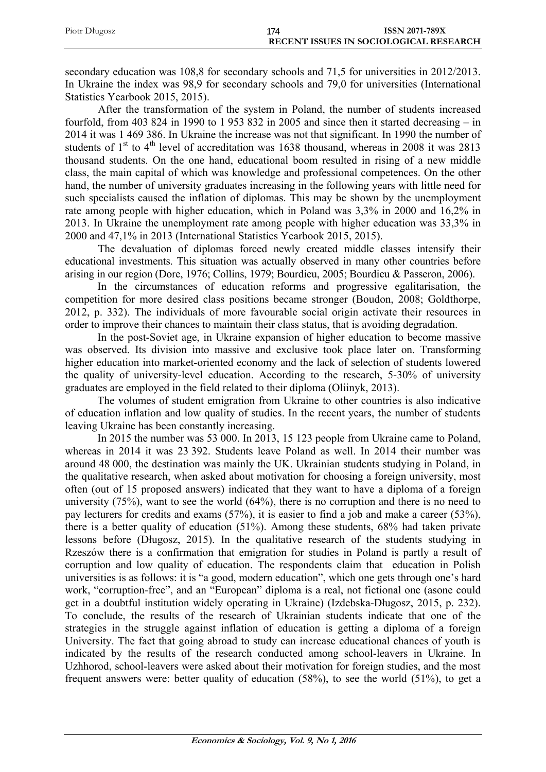| Piotr Długosz | <b>ISSN 2071-789X</b>                  |
|---------------|----------------------------------------|
|               | RECENT ISSUES IN SOCIOLOGICAL RESEARCH |

secondary education was 108,8 for secondary schools and 71,5 for universities in 2012/2013. In Ukraine the index was 98,9 for secondary schools and 79,0 for universities (International Statistics Yearbook 2015, 2015).

After the transformation of the system in Poland, the number of students increased fourfold, from 403 824 in 1990 to 1 953 832 in 2005 and since then it started decreasing – in 2014 it was 1 469 386. In Ukraine the increase was not that significant. In 1990 the number of students of  $1<sup>st</sup>$  to  $4<sup>th</sup>$  level of accreditation was 1638 thousand, whereas in 2008 it was 2813 thousand students. On the one hand, educational boom resulted in rising of a new middle class, the main capital of which was knowledge and professional competences. On the other hand, the number of university graduates increasing in the following years with little need for such specialists caused the inflation of diplomas. This may be shown by the unemployment rate among people with higher education, which in Poland was 3,3% in 2000 and 16,2% in 2013. In Ukraine the unemployment rate among people with higher education was 33,3% in 2000 and 47,1% in 2013 (International Statistics Yearbook 2015, 2015).

The devaluation of diplomas forced newly created middle classes intensify their educational investments. This situation was actually observed in many other countries before arising in our region (Dore, 1976; Collins, 1979; Bourdieu, 2005; Bourdieu & Passeron, 2006).

In the circumstances of education reforms and progressive egalitarisation, the competition for more desired class positions became stronger (Boudon, 2008; Goldthorpe, 2012, p. 332). The individuals of more favourable social origin activate their resources in order to improve their chances to maintain their class status, that is avoiding degradation.

In the post-Soviet age, in Ukraine expansion of higher education to become massive was observed. Its division into massive and exclusive took place later on. Transforming higher education into market-oriented economy and the lack of selection of students lowered the quality of university-level education. According to the research, 5-30% of university graduates are employed in the field related to their diploma (Oliinyk, 2013).

The volumes of student emigration from Ukraine to other countries is also indicative of education inflation and low quality of studies. In the recent years, the number of students leaving Ukraine has been constantly increasing.

In 2015 the number was 53 000. In 2013, 15 123 people from Ukraine came to Poland, whereas in 2014 it was 23 392. Students leave Poland as well. In 2014 their number was around 48 000, the destination was mainly the UK. Ukrainian students studying in Poland, in the qualitative research, when asked about motivation for choosing a foreign university, most often (out of 15 proposed answers) indicated that they want to have a diploma of a foreign university (75%), want to see the world (64%), there is no corruption and there is no need to pay lecturers for credits and exams (57%), it is easier to find a job and make a career (53%), there is a better quality of education (51%). Among these students, 68% had taken private lessons before (Długosz, 2015). In the qualitative research of the students studying in Rzeszów there is a confirmation that emigration for studies in Poland is partly a result of corruption and low quality of education. The respondents claim that education in Polish universities is as follows: it is "a good, modern education", which one gets through one's hard work, "corruption-free", and an "European" diploma is a real, not fictional one (asone could get in a doubtful institution widely operating in Ukraine) (Izdebska-Długosz, 2015, p. 232). To conclude, the results of the research of Ukrainian students indicate that one of the strategies in the struggle against inflation of education is getting a diploma of a foreign University. The fact that going abroad to study can increase educational chances of youth is indicated by the results of the research conducted among school-leavers in Ukraine. In Uzhhorod, school-leavers were asked about their motivation for foreign studies, and the most frequent answers were: better quality of education (58%), to see the world (51%), to get a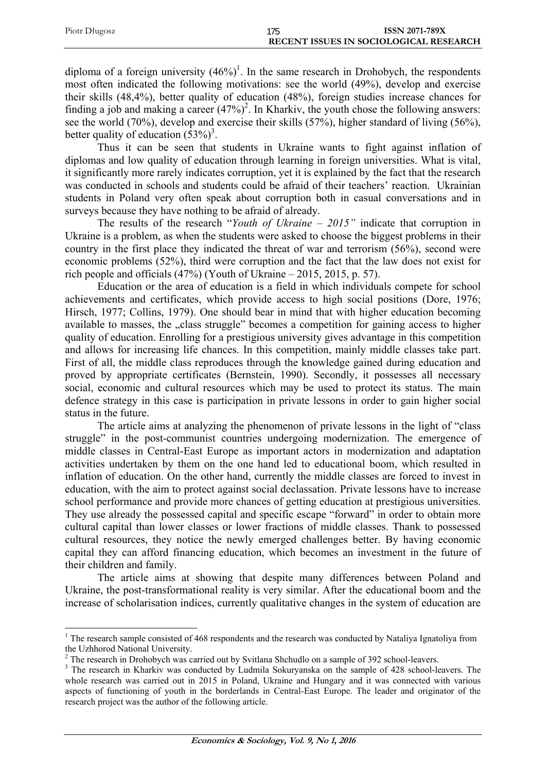| Piotr Długosz | <b>ISSN 2071-789X</b>                         |
|---------------|-----------------------------------------------|
|               | <b>RECENT ISSUES IN SOCIOLOGICAL RESEARCH</b> |

diploma of a foreign university  $(46%)^1$ . In the same research in Drohobych, the respondents most often indicated the following motivations: see the world (49%), develop and exercise their skills (48,4%), better quality of education (48%), foreign studies increase chances for finding a job and making a career  $(47%)^2$ . In Kharkiv, the youth chose the following answers: see the world (70%), develop and exercise their skills (57%), higher standard of living (56%), better quality of education  $(53\%)^3$ .

Thus it can be seen that students in Ukraine wants to fight against inflation of diplomas and low quality of education through learning in foreign universities. What is vital, it significantly more rarely indicates corruption, yet it is explained by the fact that the research was conducted in schools and students could be afraid of their teachers' reaction. Ukrainian students in Poland very often speak about corruption both in casual conversations and in surveys because they have nothing to be afraid of already.

The results of the research "*Youth of Ukraine – 2015"* indicate that corruption in Ukraine is a problem, as when the students were asked to choose the biggest problems in their country in the first place they indicated the threat of war and terrorism (56%), second were economic problems (52%), third were corruption and the fact that the law does not exist for rich people and officials (47%) (Youth of Ukraine – 2015, 2015, p. 57).

Education or the area of education is a field in which individuals compete for school achievements and certificates, which provide access to high social positions (Dore, 1976; Hirsch, 1977; Collins, 1979). One should bear in mind that with higher education becoming available to masses, the "class struggle" becomes a competition for gaining access to higher quality of education. Enrolling for a prestigious university gives advantage in this competition and allows for increasing life chances. In this competition, mainly middle classes take part. First of all, the middle class reproduces through the knowledge gained during education and proved by appropriate certificates (Bernstein, 1990). Secondly, it possesses all necessary social, economic and cultural resources which may be used to protect its status. The main defence strategy in this case is participation in private lessons in order to gain higher social status in the future.

The article aims at analyzing the phenomenon of private lessons in the light of "class struggle" in the post-communist countries undergoing modernization. The emergence of middle classes in Central-East Europe as important actors in modernization and adaptation activities undertaken by them on the one hand led to educational boom, which resulted in inflation of education. On the other hand, currently the middle classes are forced to invest in education, with the aim to protect against social declassation. Private lessons have to increase school performance and provide more chances of getting education at prestigious universities. They use already the possessed capital and specific escape "forward" in order to obtain more cultural capital than lower classes or lower fractions of middle classes. Thank to possessed cultural resources, they notice the newly emerged challenges better. By having economic capital they can afford financing education, which becomes an investment in the future of their children and family.

The article aims at showing that despite many differences between Poland and Ukraine, the post-transformational reality is very similar. After the educational boom and the increase of scholarisation indices, currently qualitative changes in the system of education are

1

<sup>&</sup>lt;sup>1</sup> The research sample consisted of 468 respondents and the research was conducted by Nataliya Ignatoliya from the Uzhhorod National University.

<sup>&</sup>lt;sup>2</sup> The research in Drohobych was carried out by Svitlana Shchudlo on a sample of 392 school-leavers.<br><sup>3</sup> The research in Kherkiy was conducted by Ludmile Solary uncks on the sample of 428 school-lea

<sup>&</sup>lt;sup>3</sup> The research in Kharkiv was conducted by Ludmila Sokuryanska on the sample of 428 school-leavers. The whole research was carried out in 2015 in Poland, Ukraine and Hungary and it was connected with various aspects of functioning of youth in the borderlands in Central-East Europe. The leader and originator of the research project was the author of the following article.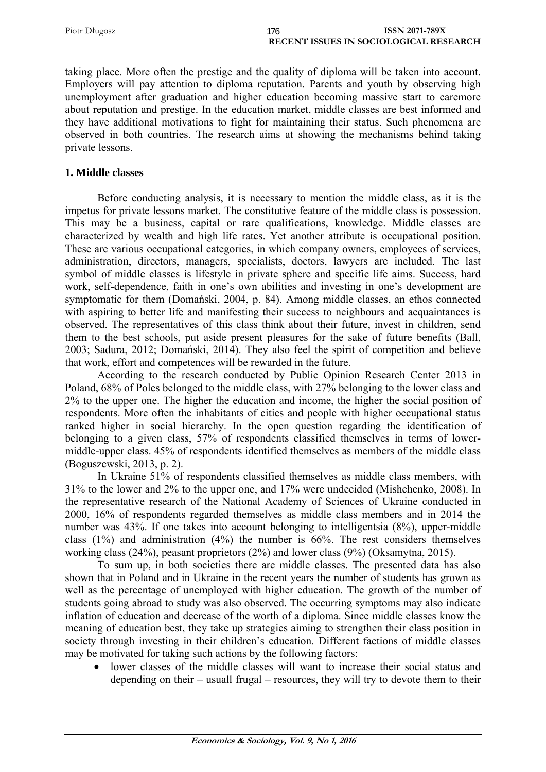| Piotr Długosz | 176                                    | <b>ISSN 2071-789X</b> |
|---------------|----------------------------------------|-----------------------|
|               | RECENT ISSUES IN SOCIOLOGICAL RESEARCH |                       |

taking place. More often the prestige and the quality of diploma will be taken into account. Employers will pay attention to diploma reputation. Parents and youth by observing high unemployment after graduation and higher education becoming massive start to caremore about reputation and prestige. In the education market, middle classes are best informed and they have additional motivations to fight for maintaining their status. Such phenomena are observed in both countries. The research aims at showing the mechanisms behind taking private lessons.

## **1. Middle classes**

Before conducting analysis, it is necessary to mention the middle class, as it is the impetus for private lessons market. The constitutive feature of the middle class is possession. This may be a business, capital or rare qualifications, knowledge. Middle classes are characterized by wealth and high life rates. Yet another attribute is occupational position. These are various occupational categories, in which company owners, employees of services, administration, directors, managers, specialists, doctors, lawyers are included. The last symbol of middle classes is lifestyle in private sphere and specific life aims. Success, hard work, self-dependence, faith in one's own abilities and investing in one's development are symptomatic for them (Domański, 2004, p. 84). Among middle classes, an ethos connected with aspiring to better life and manifesting their success to neighbours and acquaintances is observed. The representatives of this class think about their future, invest in children, send them to the best schools, put aside present pleasures for the sake of future benefits (Ball, 2003; Sadura, 2012; Domański, 2014). They also feel the spirit of competition and believe that work, effort and competences will be rewarded in the future.

According to the research conducted by Public Opinion Research Center 2013 in Poland, 68% of Poles belonged to the middle class, with 27% belonging to the lower class and 2% to the upper one. The higher the education and income, the higher the social position of respondents. More often the inhabitants of cities and people with higher occupational status ranked higher in social hierarchy. In the open question regarding the identification of belonging to a given class, 57% of respondents classified themselves in terms of lowermiddle-upper class. 45% of respondents identified themselves as members of the middle class (Boguszewski, 2013, p. 2).

In Ukraine 51% of respondents classified themselves as middle class members, with 31% to the lower and 2% to the upper one, and 17% were undecided (Mishchenko, 2008). In the representative research of the National Academy of Sciences of Ukraine conducted in 2000, 16% of respondents regarded themselves as middle class members and in 2014 the number was 43%. If one takes into account belonging to intelligentsia (8%), upper-middle class (1%) and administration (4%) the number is 66%. The rest considers themselves working class (24%), peasant proprietors (2%) and lower class (9%) (Oksamytna, 2015).

To sum up, in both societies there are middle classes. The presented data has also shown that in Poland and in Ukraine in the recent years the number of students has grown as well as the percentage of unemployed with higher education. The growth of the number of students going abroad to study was also observed. The occurring symptoms may also indicate inflation of education and decrease of the worth of a diploma. Since middle classes know the meaning of education best, they take up strategies aiming to strengthen their class position in society through investing in their children's education. Different factions of middle classes may be motivated for taking such actions by the following factors:

lower classes of the middle classes will want to increase their social status and depending on their – usuall frugal – resources, they will try to devote them to their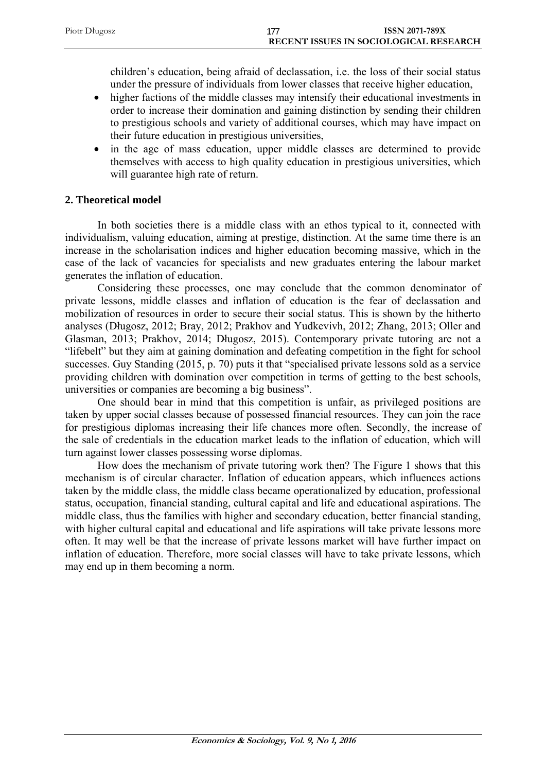children's education, being afraid of declassation, i.e. the loss of their social status under the pressure of individuals from lower classes that receive higher education,

- higher factions of the middle classes may intensify their educational investments in order to increase their domination and gaining distinction by sending their children to prestigious schools and variety of additional courses, which may have impact on their future education in prestigious universities,
- in the age of mass education, upper middle classes are determined to provide themselves with access to high quality education in prestigious universities, which will guarantee high rate of return.

# **2. Theoretical model**

In both societies there is a middle class with an ethos typical to it, connected with individualism, valuing education, aiming at prestige, distinction. At the same time there is an increase in the scholarisation indices and higher education becoming massive, which in the case of the lack of vacancies for specialists and new graduates entering the labour market generates the inflation of education.

Considering these processes, one may conclude that the common denominator of private lessons, middle classes and inflation of education is the fear of declassation and mobilization of resources in order to secure their social status. This is shown by the hitherto analyses (Długosz, 2012; Bray, 2012; Prakhov and Yudkevivh, 2012; Zhang, 2013; Oller and Glasman, 2013; Prakhov, 2014; Długosz, 2015). Contemporary private tutoring are not a "lifebelt" but they aim at gaining domination and defeating competition in the fight for school successes. Guy Standing (2015, p. 70) puts it that "specialised private lessons sold as a service providing children with domination over competition in terms of getting to the best schools, universities or companies are becoming a big business".

One should bear in mind that this competition is unfair, as privileged positions are taken by upper social classes because of possessed financial resources. They can join the race for prestigious diplomas increasing their life chances more often. Secondly, the increase of the sale of credentials in the education market leads to the inflation of education, which will turn against lower classes possessing worse diplomas.

How does the mechanism of private tutoring work then? The Figure 1 shows that this mechanism is of circular character. Inflation of education appears, which influences actions taken by the middle class, the middle class became operationalized by education, professional status, occupation, financial standing, cultural capital and life and educational aspirations. The middle class, thus the families with higher and secondary education, better financial standing, with higher cultural capital and educational and life aspirations will take private lessons more often. It may well be that the increase of private lessons market will have further impact on inflation of education. Therefore, more social classes will have to take private lessons, which may end up in them becoming a norm.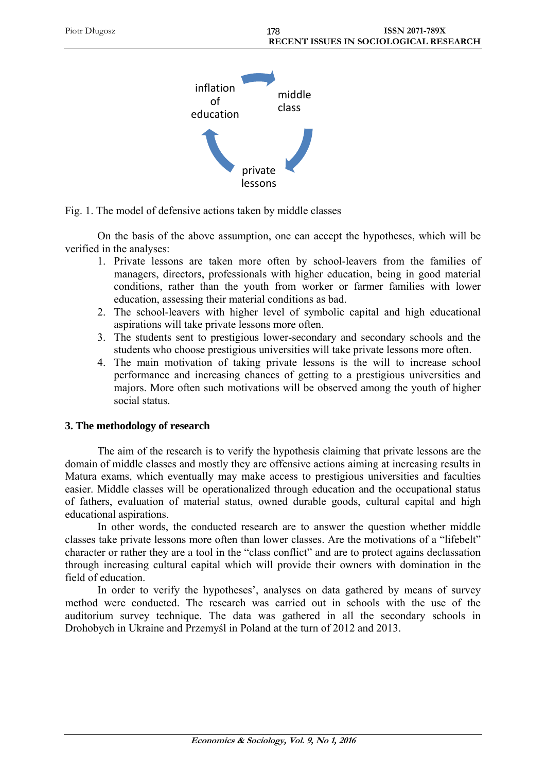

Fig. 1. The model of defensive actions taken by middle classes

On the basis of the above assumption, one can accept the hypotheses, which will be verified in the analyses:

- 1. Private lessons are taken more often by school-leavers from the families of managers, directors, professionals with higher education, being in good material conditions, rather than the youth from worker or farmer families with lower education, assessing their material conditions as bad.
- 2. The school-leavers with higher level of symbolic capital and high educational aspirations will take private lessons more often.
- 3. The students sent to prestigious lower-secondary and secondary schools and the students who choose prestigious universities will take private lessons more often.
- 4. The main motivation of taking private lessons is the will to increase school performance and increasing chances of getting to a prestigious universities and majors. More often such motivations will be observed among the youth of higher social status.

#### **3. The methodology of research**

The aim of the research is to verify the hypothesis claiming that private lessons are the domain of middle classes and mostly they are offensive actions aiming at increasing results in Matura exams, which eventually may make access to prestigious universities and faculties easier. Middle classes will be operationalized through education and the occupational status of fathers, evaluation of material status, owned durable goods, cultural capital and high educational aspirations.

In other words, the conducted research are to answer the question whether middle classes take private lessons more often than lower classes. Are the motivations of a "lifebelt" character or rather they are a tool in the "class conflict" and are to protect agains declassation through increasing cultural capital which will provide their owners with domination in the field of education.

In order to verify the hypotheses', analyses on data gathered by means of survey method were conducted. The research was carried out in schools with the use of the auditorium survey technique. The data was gathered in all the secondary schools in Drohobych in Ukraine and Przemyśl in Poland at the turn of 2012 and 2013.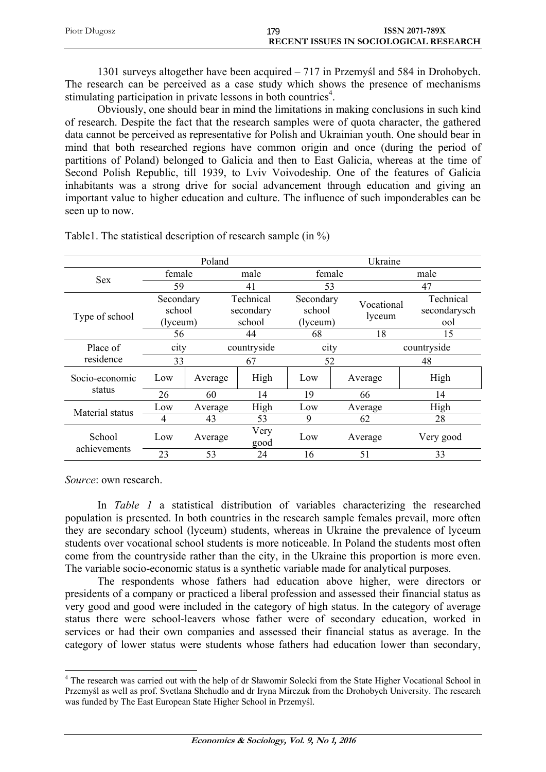| Piotr Długosz |                                        | <b>ISSN 2071-789X</b> |
|---------------|----------------------------------------|-----------------------|
|               | RECENT ISSUES IN SOCIOLOGICAL RESEARCH |                       |

1301 surveys altogether have been acquired – 717 in Przemyśl and 584 in Drohobych. The research can be perceived as a case study which shows the presence of mechanisms stimulating participation in private lessons in both countries<sup>4</sup>.

Obviously, one should bear in mind the limitations in making conclusions in such kind of research. Despite the fact that the research samples were of quota character, the gathered data cannot be perceived as representative for Polish and Ukrainian youth. One should bear in mind that both researched regions have common origin and once (during the period of partitions of Poland) belonged to Galicia and then to East Galicia, whereas at the time of Second Polish Republic, till 1939, to Lviv Voivodeship. One of the features of Galicia inhabitants was a strong drive for social advancement through education and giving an important value to higher education and culture. The influence of such imponderables can be seen up to now.

|                 | Poland    |         |              | Ukraine   |            |              |  |
|-----------------|-----------|---------|--------------|-----------|------------|--------------|--|
| <b>Sex</b>      | female    |         | male         | female    |            | male         |  |
|                 | 59        |         | 41           | 53        |            | 47           |  |
|                 | Secondary |         | Technical    | Secondary | Vocational | Technical    |  |
| Type of school  | school    |         | secondary    | school    | lyceum     | secondarysch |  |
|                 | (lyceum)  |         | school       | (lyceum)  |            | ool          |  |
|                 | 56        |         | 44           | 68        | 18         | 15           |  |
| Place of        | city      |         | countryside  | city      |            | countryside  |  |
| residence       | 33        |         | 67           | 52        |            | 48           |  |
| Socio-economic  | Low.      | Average | High         | Low       | Average    | High         |  |
| status          | 26        | 60      | 14           | 19        | 66         | 14           |  |
| Material status | Low       | Average | High         | Low       | Average    | High         |  |
|                 | 4         | 43      | 53           | 9         | 62         | 28           |  |
| School          | Low       | Average | Very<br>good | Low       | Average    | Very good    |  |
| achievements    | 23        | 53      | 24           | 16        | 51         | 33           |  |

Table1. The statistical description of research sample (in %)

*Source*: own research.

1

In *Table 1* a statistical distribution of variables characterizing the researched population is presented. In both countries in the research sample females prevail, more often they are secondary school (lyceum) students, whereas in Ukraine the prevalence of lyceum students over vocational school students is more noticeable. In Poland the students most often come from the countryside rather than the city, in the Ukraine this proportion is more even. The variable socio-economic status is a synthetic variable made for analytical purposes.

The respondents whose fathers had education above higher, were directors or presidents of a company or practiced a liberal profession and assessed their financial status as very good and good were included in the category of high status. In the category of average status there were school-leavers whose father were of secondary education, worked in services or had their own companies and assessed their financial status as average. In the category of lower status were students whose fathers had education lower than secondary,

<sup>&</sup>lt;sup>4</sup> The research was carried out with the help of dr Sławomir Solecki from the State Higher Vocational School in Przemyśl as well as prof. Svetlana Shchudlo and dr Iryna Mirczuk from the Drohobych University. The research was funded by The East European State Higher School in Przemyśl.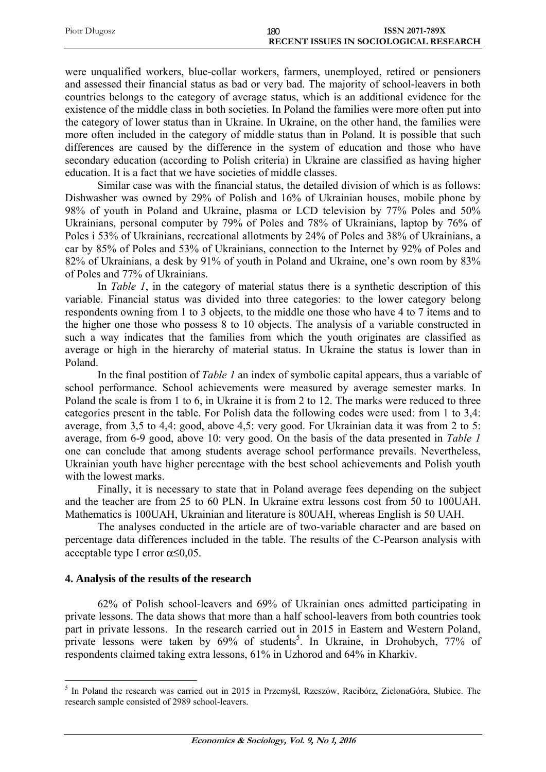| Piotr Długosz | 180                                    | ISSN 2071-789X |
|---------------|----------------------------------------|----------------|
|               | RECENT ISSUES IN SOCIOLOGICAL RESEARCH |                |

were unqualified workers, blue-collar workers, farmers, unemployed, retired or pensioners and assessed their financial status as bad or very bad. The majority of school-leavers in both countries belongs to the category of average status, which is an additional evidence for the existence of the middle class in both societies. In Poland the families were more often put into the category of lower status than in Ukraine. In Ukraine, on the other hand, the families were more often included in the category of middle status than in Poland. It is possible that such differences are caused by the difference in the system of education and those who have secondary education (according to Polish criteria) in Ukraine are classified as having higher education. It is a fact that we have societies of middle classes.

Similar case was with the financial status, the detailed division of which is as follows: Dishwasher was owned by 29% of Polish and 16% of Ukrainian houses, mobile phone by 98% of youth in Poland and Ukraine, plasma or LCD television by 77% Poles and 50% Ukrainians, personal computer by 79% of Poles and 78% of Ukrainians, laptop by 76% of Poles i 53% of Ukrainians, recreational allotments by 24% of Poles and 38% of Ukrainians, a car by 85% of Poles and 53% of Ukrainians, connection to the Internet by 92% of Poles and 82% of Ukrainians, a desk by 91% of youth in Poland and Ukraine, one's own room by 83% of Poles and 77% of Ukrainians.

In *Table 1*, in the category of material status there is a synthetic description of this variable. Financial status was divided into three categories: to the lower category belong respondents owning from 1 to 3 objects, to the middle one those who have 4 to 7 items and to the higher one those who possess 8 to 10 objects. The analysis of a variable constructed in such a way indicates that the families from which the youth originates are classified as average or high in the hierarchy of material status. In Ukraine the status is lower than in Poland.

In the final postition of *Table 1* an index of symbolic capital appears, thus a variable of school performance. School achievements were measured by average semester marks. In Poland the scale is from 1 to 6, in Ukraine it is from 2 to 12. The marks were reduced to three categories present in the table. For Polish data the following codes were used: from 1 to 3,4: average, from 3,5 to 4,4: good, above 4,5: very good. For Ukrainian data it was from 2 to 5: average, from 6-9 good, above 10: very good. On the basis of the data presented in *Table 1* one can conclude that among students average school performance prevails. Nevertheless, Ukrainian youth have higher percentage with the best school achievements and Polish youth with the lowest marks.

Finally, it is necessary to state that in Poland average fees depending on the subject and the teacher are from 25 to 60 PLN. In Ukraine extra lessons cost from 50 to 100UAH. Mathematics is 100UAH, Ukrainian and literature is 80UAH, whereas English is 50 UAH.

The analyses conducted in the article are of two-variable character and are based on percentage data differences included in the table. The results of the C-Pearson analysis with acceptable type I error  $\alpha \leq 0.05$ .

#### **4. Analysis of the results of the research**

<u>.</u>

62% of Polish school-leavers and 69% of Ukrainian ones admitted participating in private lessons. The data shows that more than a half school-leavers from both countries took part in private lessons. In the research carried out in 2015 in Eastern and Western Poland, private lessons were taken by 69% of students<sup>5</sup>. In Ukraine, in Drohobych, 77% of respondents claimed taking extra lessons, 61% in Uzhorod and 64% in Kharkiv.

<sup>&</sup>lt;sup>5</sup> In Poland the research was carried out in 2015 in Przemyśl, Rzeszów, Racibórz, ZielonaGóra, Słubice. The research sample consisted of 2989 school-leavers.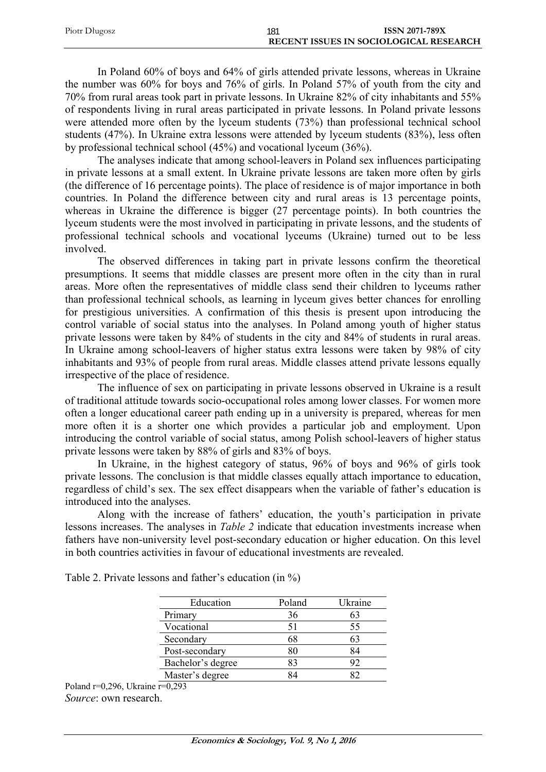| Piotr Długosz | 181                                    | <b>ISSN 2071-789X</b> |
|---------------|----------------------------------------|-----------------------|
|               | RECENT ISSUES IN SOCIOLOGICAL RESEARCH |                       |

In Poland 60% of boys and 64% of girls attended private lessons, whereas in Ukraine the number was 60% for boys and 76% of girls. In Poland 57% of youth from the city and 70% from rural areas took part in private lessons. In Ukraine 82% of city inhabitants and 55% of respondents living in rural areas participated in private lessons. In Poland private lessons were attended more often by the lyceum students (73%) than professional technical school students (47%). In Ukraine extra lessons were attended by lyceum students (83%), less often by professional technical school (45%) and vocational lyceum (36%).

The analyses indicate that among school-leavers in Poland sex influences participating in private lessons at a small extent. In Ukraine private lessons are taken more often by girls (the difference of 16 percentage points). The place of residence is of major importance in both countries. In Poland the difference between city and rural areas is 13 percentage points, whereas in Ukraine the difference is bigger (27 percentage points). In both countries the lyceum students were the most involved in participating in private lessons, and the students of professional technical schools and vocational lyceums (Ukraine) turned out to be less involved.

The observed differences in taking part in private lessons confirm the theoretical presumptions. It seems that middle classes are present more often in the city than in rural areas. More often the representatives of middle class send their children to lyceums rather than professional technical schools, as learning in lyceum gives better chances for enrolling for prestigious universities. A confirmation of this thesis is present upon introducing the control variable of social status into the analyses. In Poland among youth of higher status private lessons were taken by 84% of students in the city and 84% of students in rural areas. In Ukraine among school-leavers of higher status extra lessons were taken by 98% of city inhabitants and 93% of people from rural areas. Middle classes attend private lessons equally irrespective of the place of residence.

The influence of sex on participating in private lessons observed in Ukraine is a result of traditional attitude towards socio-occupational roles among lower classes. For women more often a longer educational career path ending up in a university is prepared, whereas for men more often it is a shorter one which provides a particular job and employment. Upon introducing the control variable of social status, among Polish school-leavers of higher status private lessons were taken by 88% of girls and 83% of boys.

In Ukraine, in the highest category of status, 96% of boys and 96% of girls took private lessons. The conclusion is that middle classes equally attach importance to education, regardless of child's sex. The sex effect disappears when the variable of father's education is introduced into the analyses.

Along with the increase of fathers' education, the youth's participation in private lessons increases. The analyses in *Table 2* indicate that education investments increase when fathers have non-university level post-secondary education or higher education. On this level in both countries activities in favour of educational investments are revealed.

| Education         | Poland | Ukraine |
|-------------------|--------|---------|
| Primary           | 36     | 63      |
| Vocational        | 51     | 55      |
| Secondary         | 68     |         |
| Post-secondary    | 80     | 84      |
| Bachelor's degree | 83     | 92      |
| Master's degree   |        |         |

Table 2. Private lessons and father's education (in %)

Poland r=0,296, Ukraine  $r=0,293$ *Source*: own research.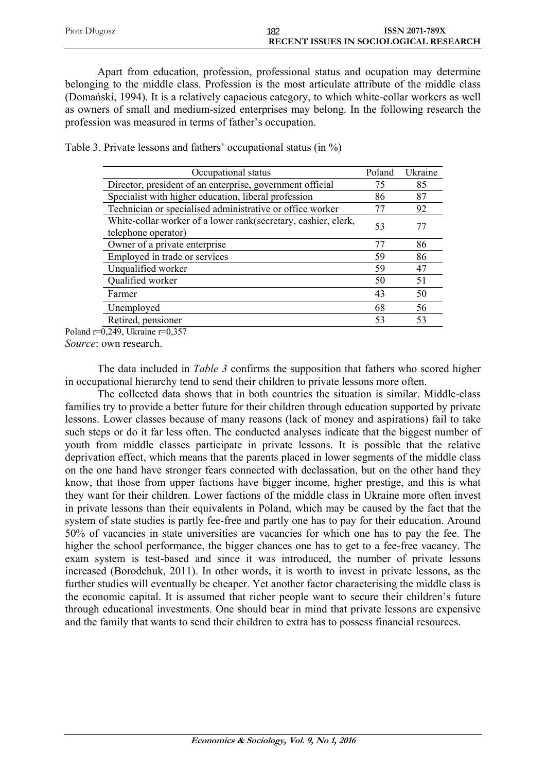| Piotr Długosz | 182                                    | ISSN 2071-789X |
|---------------|----------------------------------------|----------------|
|               | RECENT ISSUES IN SOCIOLOGICAL RESEARCH |                |

Apart from education, profession, professional status and ocupation may determine belonging to the middle class. Profession is the most articulate attribute of the middle class (Domański, 1994). It is a relatively capacious category, to which white-collar workers as well as owners of small and medium-sized enterprises may belong. In the following research the profession was measured in terms of father's occupation.

| Occupational status                                             | Poland | Ukraine |
|-----------------------------------------------------------------|--------|---------|
| Director, president of an enterprise, government official       | 75     | 85      |
| Specialist with higher education, liberal profession            | 86     | 87      |
| Technician or specialised administrative or office worker       | 77     | 92      |
| White-collar worker of a lower rank (secretary, cashier, clerk, | 53     | 77      |
| telephone operator)                                             |        |         |
| Owner of a private enterprise                                   | 77     | 86      |
| Employed in trade or services                                   | 59     | 86      |
| Unqualified worker                                              | 59     | 47      |
| Qualified worker                                                | 50     | 51      |
| Farmer                                                          | 43     | 50      |
| Unemployed                                                      | 68     | 56      |
| Retired, pensioner                                              | 53     | 53      |

Table 3. Private lessons and fathers' occupational status (in %)

Poland  $r=0,249$ , Ukraine  $r=0,357$ *Source*: own research.

The data included in *Table 3* confirms the supposition that fathers who scored higher in occupational hierarchy tend to send their children to private lessons more often.

The collected data shows that in both countries the situation is similar. Middle-class families try to provide a better future for their children through education supported by private lessons. Lower classes because of many reasons (lack of money and aspirations) fail to take such steps or do it far less often. The conducted analyses indicate that the biggest number of youth from middle classes participate in private lessons. It is possible that the relative deprivation effect, which means that the parents placed in lower segments of the middle class on the one hand have stronger fears connected with declassation, but on the other hand they know, that those from upper factions have bigger income, higher prestige, and this is what they want for their children. Lower factions of the middle class in Ukraine more often invest in private lessons than their equivalents in Poland, which may be caused by the fact that the system of state studies is partly fee-free and partly one has to pay for their education. Around 50% of vacancies in state universities are vacancies for which one has to pay the fee. The higher the school performance, the bigger chances one has to get to a fee-free vacancy. The exam system is test-based and since it was introduced, the number of private lessons increased (Borodchuk, 2011). In other words, it is worth to invest in private lessons, as the further studies will eventually be cheaper. Yet another factor characterising the middle class is the economic capital. It is assumed that richer people want to secure their children's future through educational investments. One should bear in mind that private lessons are expensive and the family that wants to send their children to extra has to possess financial resources.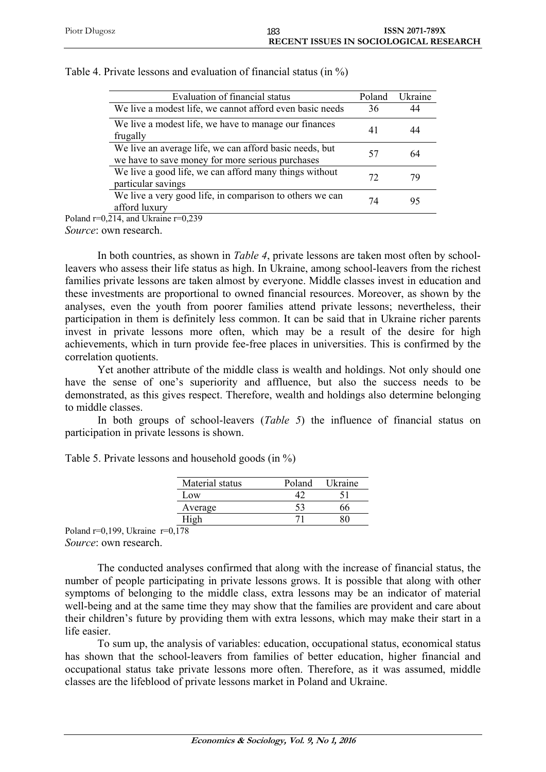| Evaluation of financial status                                                                              | Poland | Ukraine |
|-------------------------------------------------------------------------------------------------------------|--------|---------|
| We live a modest life, we cannot afford even basic needs                                                    | 36     | 44      |
| We live a modest life, we have to manage our finances<br>frugally                                           | 41     |         |
| We live an average life, we can afford basic needs, but<br>we have to save money for more serious purchases | 57     | 64      |
| We live a good life, we can afford many things without<br>particular savings                                | 72     |         |
| We live a very good life, in comparison to others we can<br>afford luxury                                   | 74     |         |

Table 4. Private lessons and evaluation of financial status (in %)

Poland  $r=0.214$ , and Ukraine  $r=0.239$ *Source*: own research.

In both countries, as shown in *Table 4*, private lessons are taken most often by schoolleavers who assess their life status as high. In Ukraine, among school-leavers from the richest families private lessons are taken almost by everyone. Middle classes invest in education and these investments are proportional to owned financial resources. Moreover, as shown by the analyses, even the youth from poorer families attend private lessons; nevertheless, their participation in them is definitely less common. It can be said that in Ukraine richer parents invest in private lessons more often, which may be a result of the desire for high achievements, which in turn provide fee-free places in universities. This is confirmed by the correlation quotients.

Yet another attribute of the middle class is wealth and holdings. Not only should one have the sense of one's superiority and affluence, but also the success needs to be demonstrated, as this gives respect. Therefore, wealth and holdings also determine belonging to middle classes.

In both groups of school-leavers (*Table 5*) the influence of financial status on participation in private lessons is shown.

| Material status | Poland | Ukraine |
|-----------------|--------|---------|
| Low             |        |         |
| Average         |        |         |
|                 |        |         |

Table 5. Private lessons and household goods (in %)

Poland r=0,199, Ukraine  $r=0.178$ *Source*: own research.

The conducted analyses confirmed that along with the increase of financial status, the number of people participating in private lessons grows. It is possible that along with other symptoms of belonging to the middle class, extra lessons may be an indicator of material well-being and at the same time they may show that the families are provident and care about their children's future by providing them with extra lessons, which may make their start in a life easier.

To sum up, the analysis of variables: education, occupational status, economical status has shown that the school-leavers from families of better education, higher financial and occupational status take private lessons more often. Therefore, as it was assumed, middle classes are the lifeblood of private lessons market in Poland and Ukraine.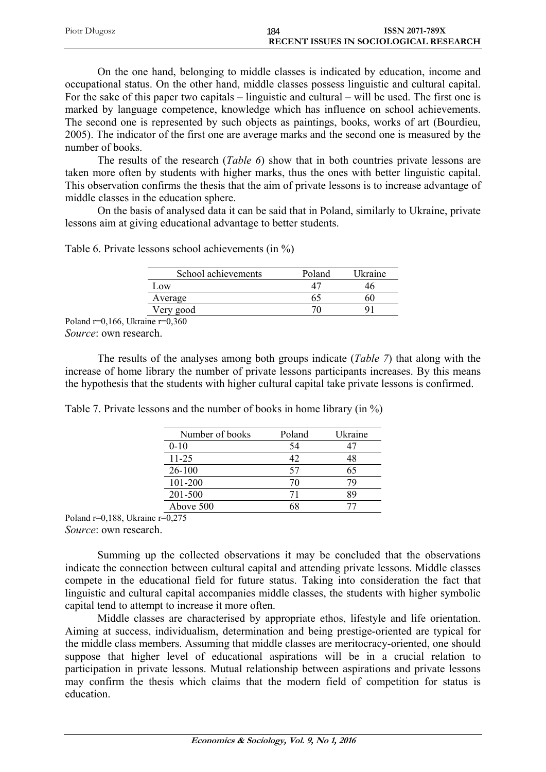| Piotr Długosz | 184                                    | <b>ISSN 2071-789X</b> |
|---------------|----------------------------------------|-----------------------|
|               | RECENT ISSUES IN SOCIOLOGICAL RESEARCH |                       |

On the one hand, belonging to middle classes is indicated by education, income and occupational status. On the other hand, middle classes possess linguistic and cultural capital. For the sake of this paper two capitals – linguistic and cultural – will be used. The first one is marked by language competence, knowledge which has influence on school achievements. The second one is represented by such objects as paintings, books, works of art (Bourdieu, 2005). The indicator of the first one are average marks and the second one is measured by the number of books.

The results of the research (*Table 6*) show that in both countries private lessons are taken more often by students with higher marks, thus the ones with better linguistic capital. This observation confirms the thesis that the aim of private lessons is to increase advantage of middle classes in the education sphere.

On the basis of analysed data it can be said that in Poland, similarly to Ukraine, private lessons aim at giving educational advantage to better students.

Table 6. Private lessons school achievements (in %)

| School achievements  | Poland | Ukraine |
|----------------------|--------|---------|
| Low                  |        |         |
| Average              |        |         |
| Very good            |        |         |
| $\sim$ $\sim$ $\sim$ |        |         |

Poland  $r=0.166$ , Ukraine  $r=0.360$ *Source*: own research.

The results of the analyses among both groups indicate (*Table 7*) that along with the increase of home library the number of private lessons participants increases. By this means the hypothesis that the students with higher cultural capital take private lessons is confirmed.

Table 7. Private lessons and the number of books in home library (in %)

| Number of books | Poland | Ukraine |
|-----------------|--------|---------|
| $0-10$          | 54     |         |
| $11 - 25$       | 42     | 48      |
| $26 - 100$      | 57     | 65      |
| 101-200         | 70     | 79      |
| 201-500         | 71     | 89      |
| Above 500       |        |         |

Poland r=0,188, Ukraine  $r=0,275$ *Source*: own research.

Summing up the collected observations it may be concluded that the observations indicate the connection between cultural capital and attending private lessons. Middle classes compete in the educational field for future status. Taking into consideration the fact that linguistic and cultural capital accompanies middle classes, the students with higher symbolic capital tend to attempt to increase it more often.

Middle classes are characterised by appropriate ethos, lifestyle and life orientation. Aiming at success, individualism, determination and being prestige-oriented are typical for the middle class members. Assuming that middle classes are meritocracy-oriented, one should suppose that higher level of educational aspirations will be in a crucial relation to participation in private lessons. Mutual relationship between aspirations and private lessons may confirm the thesis which claims that the modern field of competition for status is education.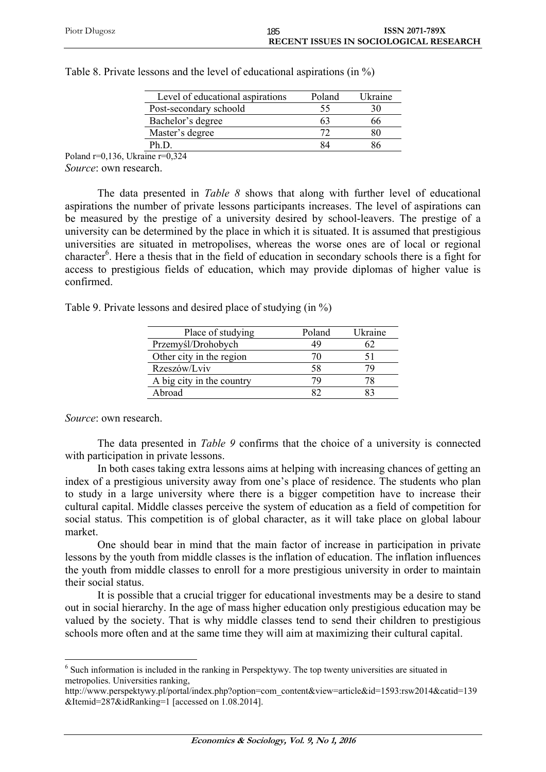| Level of educational aspirations | Poland | Ukraine |
|----------------------------------|--------|---------|
| Post-secondary schoold           | 55     | 30      |
| Bachelor's degree                | 63     | ንስ      |
| Master's degree                  |        |         |
| Ph D                             |        |         |

Table 8. Private lessons and the level of educational aspirations (in %)

Poland r=0,136, Ukraine r=0,324 *Source*: own research.

The data presented in *Table 8* shows that along with further level of educational aspirations the number of private lessons participants increases. The level of aspirations can be measured by the prestige of a university desired by school-leavers. The prestige of a university can be determined by the place in which it is situated. It is assumed that prestigious universities are situated in metropolises, whereas the worse ones are of local or regional character<sup>6</sup>. Here a thesis that in the field of education in secondary schools there is a fight for access to prestigious fields of education, which may provide diplomas of higher value is confirmed.

Table 9. Private lessons and desired place of studying (in %)

| Place of studying         | Poland | Ukraine |
|---------------------------|--------|---------|
| Przemyśl/Drohobych        | 49     |         |
| Other city in the region  | 70     |         |
| Rzeszów/Lviv              | 58     |         |
| A big city in the country | 79     |         |
| Abroad                    |        |         |

*Source*: own research.

1

The data presented in *Table 9* confirms that the choice of a university is connected with participation in private lessons.

In both cases taking extra lessons aims at helping with increasing chances of getting an index of a prestigious university away from one's place of residence. The students who plan to study in a large university where there is a bigger competition have to increase their cultural capital. Middle classes perceive the system of education as a field of competition for social status. This competition is of global character, as it will take place on global labour market.

One should bear in mind that the main factor of increase in participation in private lessons by the youth from middle classes is the inflation of education. The inflation influences the youth from middle classes to enroll for a more prestigious university in order to maintain their social status.

It is possible that a crucial trigger for educational investments may be a desire to stand out in social hierarchy. In the age of mass higher education only prestigious education may be valued by the society. That is why middle classes tend to send their children to prestigious schools more often and at the same time they will aim at maximizing their cultural capital.

<sup>&</sup>lt;sup>6</sup> Such information is included in the ranking in Perspektywy. The top twenty universities are situated in metropolies. Universities ranking,

http://www.perspektywy.pl/portal/index.php?option=com\_content&view=article&id=1593:rsw2014&catid=139 &Itemid=287&idRanking=1 [accessed on 1.08.2014].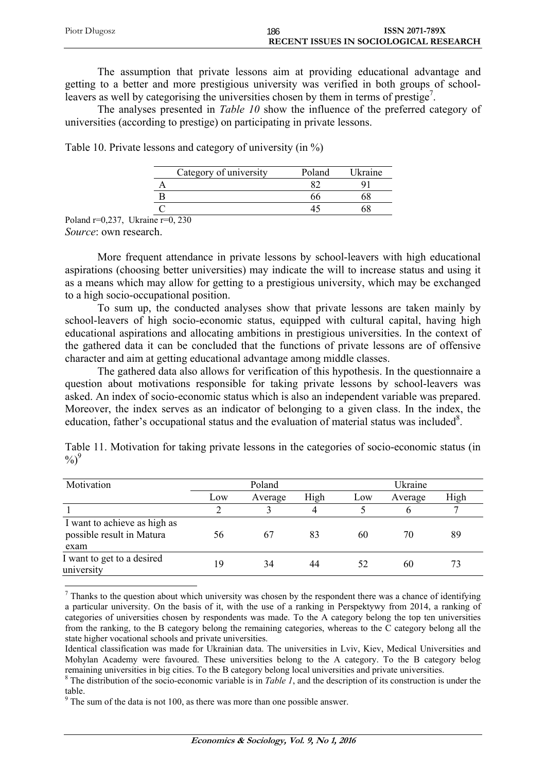| Piotr Długosz | 186 | <b>ISSN 2071-789X</b>                  |
|---------------|-----|----------------------------------------|
|               |     | RECENT ISSUES IN SOCIOLOGICAL RESEARCH |

The assumption that private lessons aim at providing educational advantage and getting to a better and more prestigious university was verified in both groups of schoolleavers as well by categorising the universities chosen by them in terms of prestige<sup>7</sup>.

The analyses presented in *Table 10* show the influence of the preferred category of universities (according to prestige) on participating in private lessons.

Table 10. Private lessons and category of university (in %)

Poland r=0,237, Ukraine r=0, 230 *Source*: own research.

<u>.</u>

More frequent attendance in private lessons by school-leavers with high educational aspirations (choosing better universities) may indicate the will to increase status and using it as a means which may allow for getting to a prestigious university, which may be exchanged to a high socio-occupational position.

To sum up, the conducted analyses show that private lessons are taken mainly by school-leavers of high socio-economic status, equipped with cultural capital, having high educational aspirations and allocating ambitions in prestigious universities. In the context of the gathered data it can be concluded that the functions of private lessons are of offensive character and aim at getting educational advantage among middle classes.

The gathered data also allows for verification of this hypothesis. In the questionnaire a question about motivations responsible for taking private lessons by school-leavers was asked. An index of socio-economic status which is also an independent variable was prepared. Moreover, the index serves as an indicator of belonging to a given class. In the index, the education, father's occupational status and the evaluation of material status was included<sup>8</sup>.

| Motivation                                                        |     | Poland  |      |     | Ukraine |      |
|-------------------------------------------------------------------|-----|---------|------|-----|---------|------|
|                                                                   | Low | Average | High | Low | Average | High |
|                                                                   |     |         | 4    |     |         |      |
| I want to achieve as high as<br>possible result in Matura<br>exam | 56  | 67      | 83   | 60  | 70      | 89   |
| I want to get to a desired<br>university                          | 19  | 34      | 44   | 52  | 60      | 73   |

Table 11. Motivation for taking private lessons in the categories of socio-economic status (in  $\frac{9}{2}$ 

 $<sup>7</sup>$  Thanks to the question about which university was chosen by the respondent there was a chance of identifying</sup> a particular university. On the basis of it, with the use of a ranking in Perspektywy from 2014, a ranking of categories of universities chosen by respondents was made. To the A category belong the top ten universities from the ranking, to the B category belong the remaining categories, whereas to the C category belong all the state higher vocational schools and private universities.

Identical classification was made for Ukrainian data. The universities in Lviv, Kiev, Medical Universities and Mohylan Academy were favoured. These universities belong to the A category. To the B category belog remaining universities in big cities. To the B category belong local universities and private universities.

The distribution of the socio-economic variable is in *Table 1*, and the description of its construction is under the table.

 $9<sup>9</sup>$  The sum of the data is not 100, as there was more than one possible answer.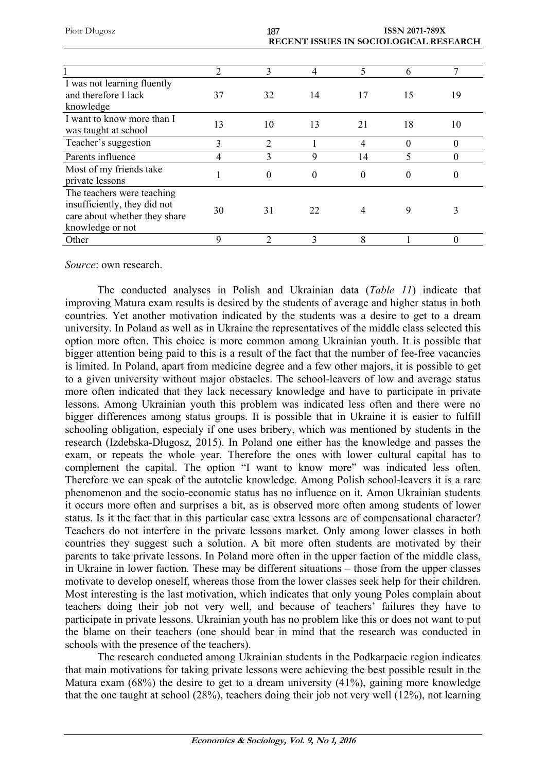|                                                                                                                 |    |                |          |          |          | RECENT ISSUES IN SOCIOLOGICAL RESEARCH |
|-----------------------------------------------------------------------------------------------------------------|----|----------------|----------|----------|----------|----------------------------------------|
|                                                                                                                 |    |                |          |          |          |                                        |
|                                                                                                                 | 2  | 3              | 4        | 5        | 6        |                                        |
| I was not learning fluently<br>and therefore I lack<br>knowledge                                                | 37 | 32             | 14       | 17       | 15       | 19                                     |
| I want to know more than I<br>was taught at school                                                              | 13 | 10             | 13       | 21       | 18       | 10                                     |
| Teacher's suggestion                                                                                            | 3  | $\overline{2}$ |          | 4        | $\Omega$ | $\theta$                               |
| Parents influence                                                                                               |    | 3              | 9        | 14       | 5        | 0                                      |
| Most of my friends take<br>private lessons                                                                      |    | $\Omega$       | $\Omega$ | $\theta$ | $\theta$ | $\theta$                               |
| The teachers were teaching<br>insufficiently, they did not<br>care about whether they share<br>knowledge or not | 30 | 31             | 22       | 4        | 9        | 3                                      |
| Other                                                                                                           | 9  | $\overline{2}$ | 3        | 8        |          | $\theta$                               |

Piotr Długosz **ISSN 2071-789X** 

187

*Source*: own research.

The conducted analyses in Polish and Ukrainian data (*Table 11*) indicate that improving Matura exam results is desired by the students of average and higher status in both countries. Yet another motivation indicated by the students was a desire to get to a dream university. In Poland as well as in Ukraine the representatives of the middle class selected this option more often. This choice is more common among Ukrainian youth. It is possible that bigger attention being paid to this is a result of the fact that the number of fee-free vacancies is limited. In Poland, apart from medicine degree and a few other majors, it is possible to get to a given university without major obstacles. The school-leavers of low and average status more often indicated that they lack necessary knowledge and have to participate in private lessons. Among Ukrainian youth this problem was indicated less often and there were no bigger differences among status groups. It is possible that in Ukraine it is easier to fulfill schooling obligation, especialy if one uses bribery, which was mentioned by students in the research (Izdebska-Długosz, 2015). In Poland one either has the knowledge and passes the exam, or repeats the whole year. Therefore the ones with lower cultural capital has to complement the capital. The option "I want to know more" was indicated less often. Therefore we can speak of the autotelic knowledge. Among Polish school-leavers it is a rare phenomenon and the socio-economic status has no influence on it. Amon Ukrainian students it occurs more often and surprises a bit, as is observed more often among students of lower status. Is it the fact that in this particular case extra lessons are of compensational character? Teachers do not interfere in the private lessons market. Only among lower classes in both countries they suggest such a solution. A bit more often students are motivated by their parents to take private lessons. In Poland more often in the upper faction of the middle class, in Ukraine in lower faction. These may be different situations – those from the upper classes motivate to develop oneself, whereas those from the lower classes seek help for their children. Most interesting is the last motivation, which indicates that only young Poles complain about teachers doing their job not very well, and because of teachers' failures they have to participate in private lessons. Ukrainian youth has no problem like this or does not want to put the blame on their teachers (one should bear in mind that the research was conducted in schools with the presence of the teachers).

The research conducted among Ukrainian students in the Podkarpacie region indicates that main motivations for taking private lessons were achieving the best possible result in the Matura exam (68%) the desire to get to a dream university (41%), gaining more knowledge that the one taught at school (28%), teachers doing their job not very well (12%), not learning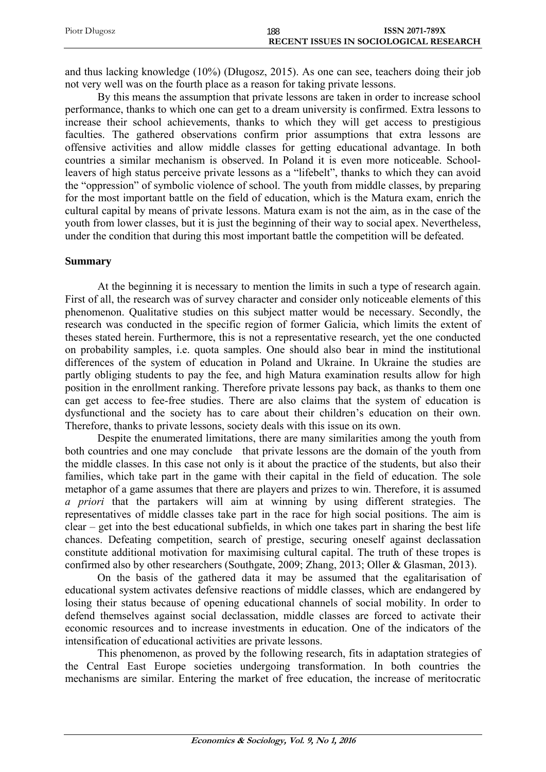| Piotr Długosz | 188                                           | <b>ISSN 2071-789X</b> |
|---------------|-----------------------------------------------|-----------------------|
|               | <b>RECENT ISSUES IN SOCIOLOGICAL RESEARCH</b> |                       |

and thus lacking knowledge (10%) (Długosz, 2015). As one can see, teachers doing their job not very well was on the fourth place as a reason for taking private lessons.

By this means the assumption that private lessons are taken in order to increase school performance, thanks to which one can get to a dream university is confirmed. Extra lessons to increase their school achievements, thanks to which they will get access to prestigious faculties. The gathered observations confirm prior assumptions that extra lessons are offensive activities and allow middle classes for getting educational advantage. In both countries a similar mechanism is observed. In Poland it is even more noticeable. Schoolleavers of high status perceive private lessons as a "lifebelt", thanks to which they can avoid the "oppression" of symbolic violence of school. The youth from middle classes, by preparing for the most important battle on the field of education, which is the Matura exam, enrich the cultural capital by means of private lessons. Matura exam is not the aim, as in the case of the youth from lower classes, but it is just the beginning of their way to social apex. Nevertheless, under the condition that during this most important battle the competition will be defeated.

#### **Summary**

At the beginning it is necessary to mention the limits in such a type of research again. First of all, the research was of survey character and consider only noticeable elements of this phenomenon. Qualitative studies on this subject matter would be necessary. Secondly, the research was conducted in the specific region of former Galicia, which limits the extent of theses stated herein. Furthermore, this is not a representative research, yet the one conducted on probability samples, i.e. quota samples. One should also bear in mind the institutional differences of the system of education in Poland and Ukraine. In Ukraine the studies are partly obliging students to pay the fee, and high Matura examination results allow for high position in the enrollment ranking. Therefore private lessons pay back, as thanks to them one can get access to fee-free studies. There are also claims that the system of education is dysfunctional and the society has to care about their children's education on their own. Therefore, thanks to private lessons, society deals with this issue on its own.

Despite the enumerated limitations, there are many similarities among the youth from both countries and one may conclude that private lessons are the domain of the youth from the middle classes. In this case not only is it about the practice of the students, but also their families, which take part in the game with their capital in the field of education. The sole metaphor of a game assumes that there are players and prizes to win. Therefore, it is assumed *a priori* that the partakers will aim at winning by using different strategies. The representatives of middle classes take part in the race for high social positions. The aim is clear – get into the best educational subfields, in which one takes part in sharing the best life chances. Defeating competition, search of prestige, securing oneself against declassation constitute additional motivation for maximising cultural capital. The truth of these tropes is confirmed also by other researchers (Southgate, 2009; Zhang, 2013; Oller & Glasman, 2013).

On the basis of the gathered data it may be assumed that the egalitarisation of educational system activates defensive reactions of middle classes, which are endangered by losing their status because of opening educational channels of social mobility. In order to defend themselves against social declassation, middle classes are forced to activate their economic resources and to increase investments in education. One of the indicators of the intensification of educational activities are private lessons.

This phenomenon, as proved by the following research, fits in adaptation strategies of the Central East Europe societies undergoing transformation. In both countries the mechanisms are similar. Entering the market of free education, the increase of meritocratic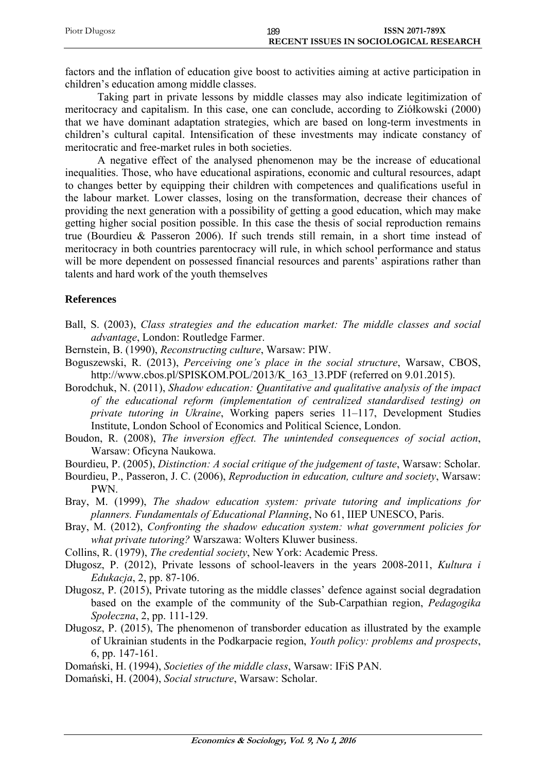| Piotr Długosz | 189                                    | <b>ISSN 2071-789X</b> |
|---------------|----------------------------------------|-----------------------|
|               | RECENT ISSUES IN SOCIOLOGICAL RESEARCH |                       |

factors and the inflation of education give boost to activities aiming at active participation in children's education among middle classes.

Taking part in private lessons by middle classes may also indicate legitimization of meritocracy and capitalism. In this case, one can conclude, according to Ziółkowski (2000) that we have dominant adaptation strategies, which are based on long-term investments in children's cultural capital. Intensification of these investments may indicate constancy of meritocratic and free-market rules in both societies.

A negative effect of the analysed phenomenon may be the increase of educational inequalities. Those, who have educational aspirations, economic and cultural resources, adapt to changes better by equipping their children with competences and qualifications useful in the labour market. Lower classes, losing on the transformation, decrease their chances of providing the next generation with a possibility of getting a good education, which may make getting higher social position possible. In this case the thesis of social reproduction remains true (Bourdieu & Passeron 2006). If such trends still remain, in a short time instead of meritocracy in both countries parentocracy will rule, in which school performance and status will be more dependent on possessed financial resources and parents' aspirations rather than talents and hard work of the youth themselves

## **References**

- Ball, S. (2003), *Class strategies and the education market: The middle classes and social advantage*, London: Routledge Farmer.
- Bernstein, B. (1990), *Reconstructing culture*, Warsaw: PIW.
- Boguszewski, R. (2013), *Perceiving one's place in the social structure*, Warsaw, CBOS, http://www.cbos.pl/SPISKOM.POL/2013/K 163 13.PDF (referred on 9.01.2015).
- Borodchuk, N. (2011), *Shadow education: Quantitative and qualitative analysis of the impact of the educational reform (implementation of centralized standardised testing) on private tutoring in Ukraine*, Working papers series 11–117, Development Studies Institute, London School of Economics and Political Science, London.
- Boudon, R. (2008), *The inversion effect. The unintended consequences of social action*, Warsaw: Oficyna Naukowa.
- Bourdieu, P. (2005), *Distinction: A social critique of the judgement of taste*, Warsaw: Scholar.
- Bourdieu, P., Passeron, J. C. (2006), *Reproduction in education, culture and society*, Warsaw: PWN.
- Bray, M. (1999), *The shadow education system: private tutoring and implications for planners. Fundamentals of Educational Planning*, No 61, IIEP UNESCO, Paris.
- Bray, M. (2012), *Confronting the shadow education system: what government policies for what private tutoring?* Warszawa: Wolters Kluwer business.
- Collins, R. (1979), *The credential society*, New York: Academic Press.
- Długosz, P. (2012), Private lessons of school-leavers in the years 2008-2011, *Kultura i Edukacja*, 2, pp. 87-106.
- Długosz, P. (2015), Private tutoring as the middle classes' defence against social degradation based on the example of the community of the Sub-Carpathian region, *Pedagogika Społeczna*, 2, pp. 111-129.
- Długosz, P. (2015), The phenomenon of transborder education as illustrated by the example of Ukrainian students in the Podkarpacie region, *Youth policy: problems and prospects*, 6, pp. 147-161.
- Domański, H. (1994), *Societies of the middle class*, Warsaw: IFiS PAN.
- Domański, H. (2004), *Social structure*, Warsaw: Scholar.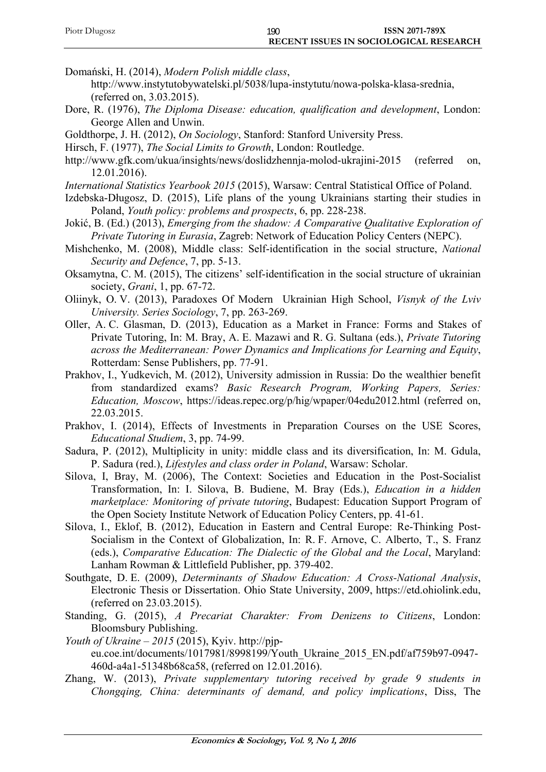| Piotr Długosz | 190                                           | <b>ISSN 2071-789X</b> |
|---------------|-----------------------------------------------|-----------------------|
|               | <b>RECENT ISSUES IN SOCIOLOGICAL RESEARCH</b> |                       |

Domański, H. (2014), *Modern Polish middle class*,

- Dore, R. (1976), *The Diploma Disease: education, qualification and development*, London: George Allen and Unwin.
- Goldthorpe, J. H. (2012), *On Sociology*, Stanford: Stanford University Press.
- Hirsch, F. (1977), *The Social Limits to Growth*, London: Routledge.
- http://www.gfk.com/ukua/insights/news/doslidzhennja-molod-ukrajini-2015 (referred on, 12.01.2016).
- *International Statistics Yearbook 2015* (2015), Warsaw: Central Statistical Office of Poland.
- Izdebska-Długosz, D. (2015), Life plans of the young Ukrainians starting their studies in Poland, *Youth policy: problems and prospects*, 6, pp. 228-238.
- Jokić, B. (Ed.) (2013), *Emerging from the shadow: A Comparative Qualitative Exploration of Private Tutoring in Eurasia*, Zagreb: Network of Education Policy Centers (NEPC).
- Mishchenko, М. (2008), Middle class: Self-identification in the social structure, *National Security and Defence*, 7, pp. 5-13.
- Oksamytna, С. М. (2015), The citizens' self-identification in the social structure of ukrainian society, *Grani*, 1, pp. 67-72.
- Oliinyk, O. V. (2013), Paradoxes Of Modern Ukrainian High School, *Visnyk of the Lviv University. Series Sociology*, 7, pp. 263-269.
- Oller, A. C. Glasman, D. (2013), Education as a Market in France: Forms and Stakes of Private Tutoring, In: M. Bray, A. E. Mazawi and R. G. Sultana (eds.), *Private Tutoring across the Mediterranean: Power Dynamics and Implications for Learning and Equity*, Rotterdam: Sense Publishers, pp. 77-91.
- Prakhov, I., Yudkevich, M. (2012), University admission in Russia: Do the wealthier benefit from standardized exams? *Basic Research Program, Working Papers, Series: Education, Moscow*, https://ideas.repec.org/p/hig/wpaper/04edu2012.html (referred on, 22.03.2015.
- Prakhov, I. (2014), Effects of Investments in Preparation Courses on the USE Scores, *Educational Studiem*, 3, pp. 74-99.
- Sadura, P. (2012), Multiplicity in unity: middle class and its diversification, In: M. Gdula, P. Sadura (red.), *Lifestyles and class order in Poland*, Warsaw: Scholar.
- Silova, I, Bray, M. (2006), The Context: Societies and Education in the Post-Socialist Transformation, In: I. Silova, B. Budiene, M. Bray (Eds.), *Education in a hidden marketplace: Monitoring of private tutoring*, Budapest: Education Support Program of the Open Society Institute Network of Education Policy Centers, pp. 41-61.
- Silova, I., Eklof, B. (2012), Education in Eastern and Central Europe: Re-Thinking Post-Socialism in the Context of Globalization, In: R. F. Arnove, C. Alberto, T., S. Franz (eds.), *Comparative Education: The Dialectic of the Global and the Local*, Maryland: Lanham Rowman & Littlefield Publisher, pp. 379-402.
- Southgate, D. E. (2009), *Determinants of Shadow Education: A Cross-National Analysis*, Electronic Thesis or Dissertation. Ohio State University, 2009, https://etd.ohiolink.edu, (referred on 23.03.2015).
- Standing, G. (2015), *A Precariat Charakter: From Denizens to Citizens*, London: Bloomsbury Publishing.
- *Youth of Ukraine 2015* (2015), Kyiv. http://pjpeu.coe.int/documents/1017981/8998199/Youth\_Ukraine\_2015\_EN.pdf/af759b97-0947- 460d-a4a1-51348b68ca58, (referred on 12.01.2016).
- Zhang, W. (2013), *Private supplementary tutoring received by grade 9 students in Chongqing, China: determinants of demand, and policy implications*, Diss, The

http://www.instytutobywatelski.pl/5038/lupa-instytutu/nowa-polska-klasa-srednia, (referred on, 3.03.2015).